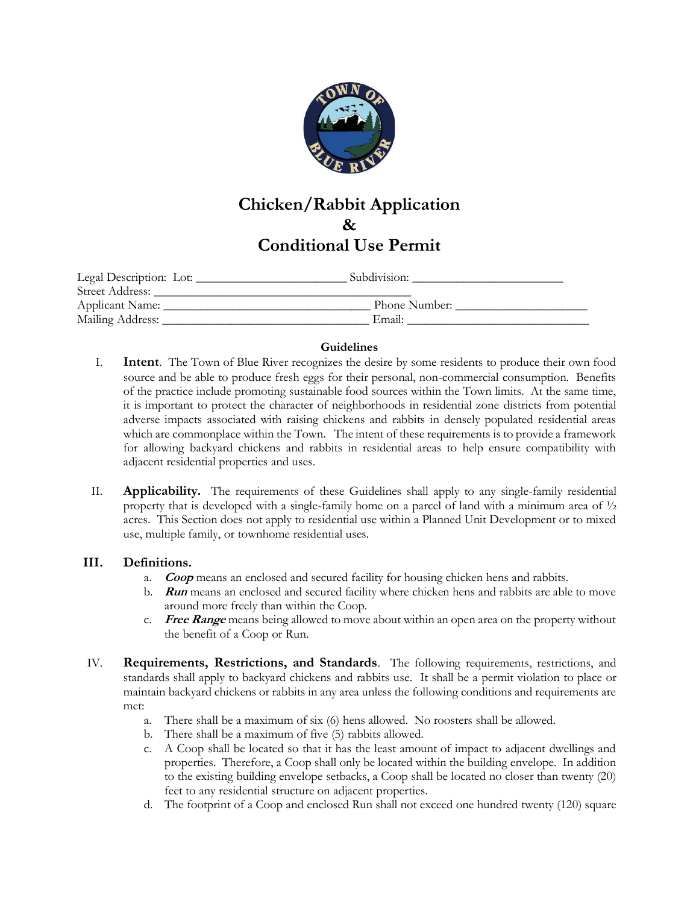

## **Chicken/Rabbit Application & Conditional Use Permit**

| Legal Description: Lot: | Subdivision:  |  |
|-------------------------|---------------|--|
| Street Address:         |               |  |
| Applicant Name:         | Phone Number: |  |
| Mailing Address:        | Email:        |  |

#### **Guidelines**

- I. **Intent**. The Town of Blue River recognizes the desire by some residents to produce their own food source and be able to produce fresh eggs for their personal, non-commercial consumption. Benefits of the practice include promoting sustainable food sources within the Town limits. At the same time, it is important to protect the character of neighborhoods in residential zone districts from potential adverse impacts associated with raising chickens and rabbits in densely populated residential areas which are commonplace within the Town. The intent of these requirements is to provide a framework for allowing backyard chickens and rabbits in residential areas to help ensure compatibility with adjacent residential properties and uses.
- II. **Applicability.** The requirements of these Guidelines shall apply to any single-family residential property that is developed with a single-family home on a parcel of land with a minimum area of  $\frac{1}{2}$ acres. This Section does not apply to residential use within a Planned Unit Development or to mixed use, multiple family, or townhome residential uses.

#### **III. Definitions.**

- a. **Coop** means an enclosed and secured facility for housing chicken hens and rabbits.
- b. **Run** means an enclosed and secured facility where chicken hens and rabbits are able to move around more freely than within the Coop.
- c. **Free Range** means being allowed to move about within an open area on the property without the benefit of a Coop or Run.
- IV. **Requirements, Restrictions, and Standards**. The following requirements, restrictions, and standards shall apply to backyard chickens and rabbits use. It shall be a permit violation to place or maintain backyard chickens or rabbits in any area unless the following conditions and requirements are met:
	- a. There shall be a maximum of six (6) hens allowed. No roosters shall be allowed.
	- b. There shall be a maximum of five (5) rabbits allowed.
	- c. A Coop shall be located so that it has the least amount of impact to adjacent dwellings and properties. Therefore, a Coop shall only be located within the building envelope. In addition to the existing building envelope setbacks, a Coop shall be located no closer than twenty (20) feet to any residential structure on adjacent properties.
	- d. The footprint of a Coop and enclosed Run shall not exceed one hundred twenty (120) square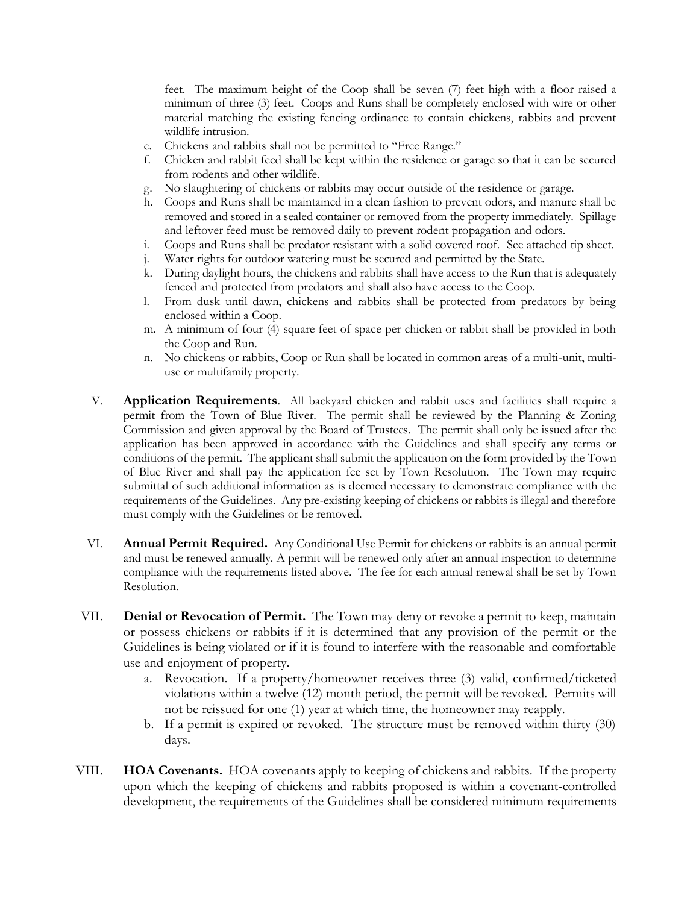feet. The maximum height of the Coop shall be seven (7) feet high with a floor raised a minimum of three (3) feet. Coops and Runs shall be completely enclosed with wire or other material matching the existing fencing ordinance to contain chickens, rabbits and prevent wildlife intrusion.

- e. Chickens and rabbits shall not be permitted to "Free Range."
- f. Chicken and rabbit feed shall be kept within the residence or garage so that it can be secured from rodents and other wildlife.
- g. No slaughtering of chickens or rabbits may occur outside of the residence or garage.
- h. Coops and Runs shall be maintained in a clean fashion to prevent odors, and manure shall be removed and stored in a sealed container or removed from the property immediately. Spillage and leftover feed must be removed daily to prevent rodent propagation and odors.
- i. Coops and Runs shall be predator resistant with a solid covered roof. See attached tip sheet.
- j. Water rights for outdoor watering must be secured and permitted by the State.
- k. During daylight hours, the chickens and rabbits shall have access to the Run that is adequately fenced and protected from predators and shall also have access to the Coop.
- l. From dusk until dawn, chickens and rabbits shall be protected from predators by being enclosed within a Coop.
- m. A minimum of four (4) square feet of space per chicken or rabbit shall be provided in both the Coop and Run.
- n. No chickens or rabbits, Coop or Run shall be located in common areas of a multi-unit, multiuse or multifamily property.
- V. **Application Requirements**. All backyard chicken and rabbit uses and facilities shall require a permit from the Town of Blue River. The permit shall be reviewed by the Planning & Zoning Commission and given approval by the Board of Trustees. The permit shall only be issued after the application has been approved in accordance with the Guidelines and shall specify any terms or conditions of the permit. The applicant shall submit the application on the form provided by the Town of Blue River and shall pay the application fee set by Town Resolution. The Town may require submittal of such additional information as is deemed necessary to demonstrate compliance with the requirements of the Guidelines. Any pre-existing keeping of chickens or rabbits is illegal and therefore must comply with the Guidelines or be removed.
- VI. **Annual Permit Required.** Any Conditional Use Permit for chickens or rabbits is an annual permit and must be renewed annually. A permit will be renewed only after an annual inspection to determine compliance with the requirements listed above. The fee for each annual renewal shall be set by Town Resolution.
- VII. **Denial or Revocation of Permit.** The Town may deny or revoke a permit to keep, maintain or possess chickens or rabbits if it is determined that any provision of the permit or the Guidelines is being violated or if it is found to interfere with the reasonable and comfortable use and enjoyment of property.
	- a. Revocation. If a property/homeowner receives three (3) valid, confirmed/ticketed violations within a twelve (12) month period, the permit will be revoked. Permits will not be reissued for one (1) year at which time, the homeowner may reapply.
	- b. If a permit is expired or revoked. The structure must be removed within thirty (30) days.
- VIII. **HOA Covenants.** HOA covenants apply to keeping of chickens and rabbits. If the property upon which the keeping of chickens and rabbits proposed is within a covenant-controlled development, the requirements of the Guidelines shall be considered minimum requirements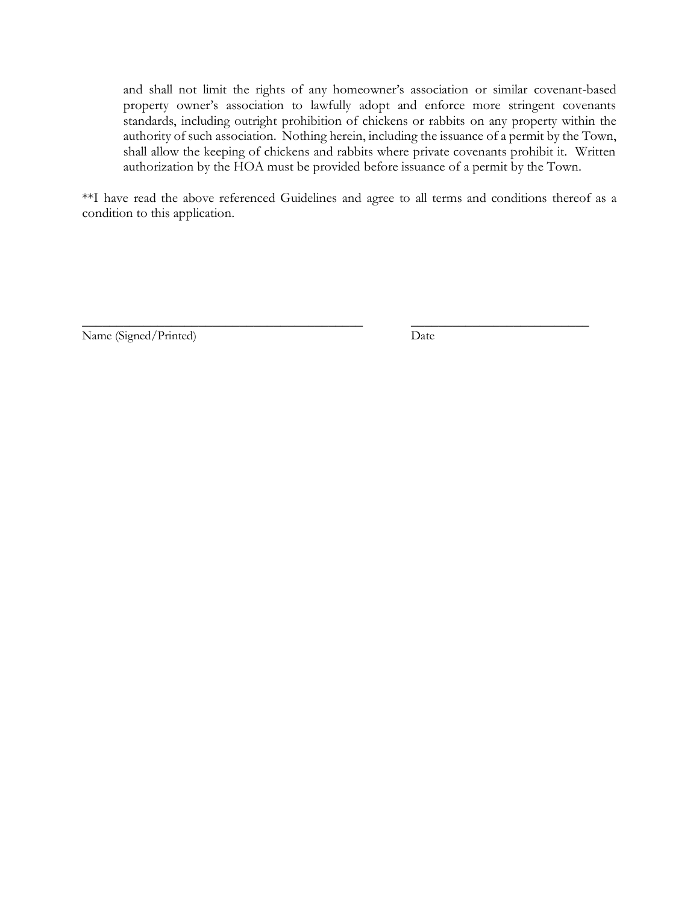and shall not limit the rights of any homeowner's association or similar covenant-based property owner's association to lawfully adopt and enforce more stringent covenants standards, including outright prohibition of chickens or rabbits on any property within the authority of such association. Nothing herein, including the issuance of a permit by the Town, shall allow the keeping of chickens and rabbits where private covenants prohibit it. Written authorization by the HOA must be provided before issuance of a permit by the Town.

\*\*I have read the above referenced Guidelines and agree to all terms and conditions thereof as a condition to this application.

\_\_\_\_\_\_\_\_\_\_\_\_\_\_\_\_\_\_\_\_\_\_\_\_\_\_\_\_\_\_\_\_\_\_\_\_\_\_\_\_\_ \_\_\_\_\_\_\_\_\_\_\_\_\_\_\_\_\_\_\_\_\_\_\_\_\_\_ Name (Signed/Printed) Date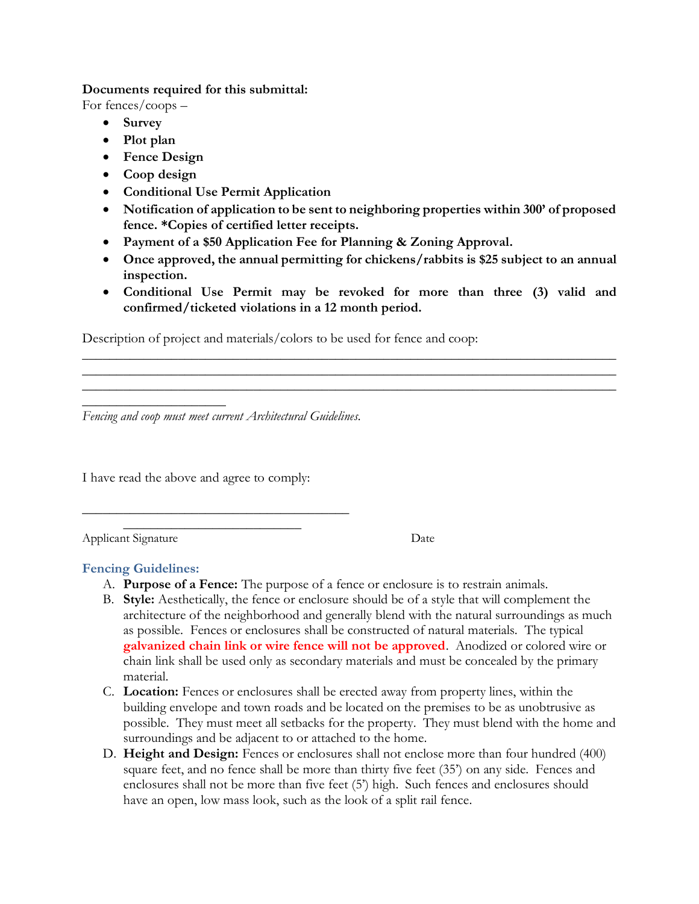#### **Documents required for this submittal:**

For fences/coops –

- **Survey**
- **Plot plan**
- **Fence Design**
- **Coop design**
- **Conditional Use Permit Application**
- **Notification of application to be sent to neighboring properties within 300' of proposed fence. \*Copies of certified letter receipts.**
- **Payment of a \$50 Application Fee for Planning & Zoning Approval.**
- **Once approved, the annual permitting for chickens/rabbits is \$25 subject to an annual inspection.**
- **Conditional Use Permit may be revoked for more than three (3) valid and confirmed/ticketed violations in a 12 month period.**

\_\_\_\_\_\_\_\_\_\_\_\_\_\_\_\_\_\_\_\_\_\_\_\_\_\_\_\_\_\_\_\_\_\_\_\_\_\_\_\_\_\_\_\_\_\_\_\_\_\_\_\_\_\_\_\_\_\_\_\_\_\_\_\_\_\_\_\_\_\_\_\_\_\_\_\_\_\_ \_\_\_\_\_\_\_\_\_\_\_\_\_\_\_\_\_\_\_\_\_\_\_\_\_\_\_\_\_\_\_\_\_\_\_\_\_\_\_\_\_\_\_\_\_\_\_\_\_\_\_\_\_\_\_\_\_\_\_\_\_\_\_\_\_\_\_\_\_\_\_\_\_\_\_\_\_\_ \_\_\_\_\_\_\_\_\_\_\_\_\_\_\_\_\_\_\_\_\_\_\_\_\_\_\_\_\_\_\_\_\_\_\_\_\_\_\_\_\_\_\_\_\_\_\_\_\_\_\_\_\_\_\_\_\_\_\_\_\_\_\_\_\_\_\_\_\_\_\_\_\_\_\_\_\_\_

Description of project and materials/colors to be used for fence and coop:

*Fencing and coop must meet current Architectural Guidelines.*

I have read the above and agree to comply:

 $\frac{1}{2}$  ,  $\frac{1}{2}$  ,  $\frac{1}{2}$  ,  $\frac{1}{2}$  ,  $\frac{1}{2}$  ,  $\frac{1}{2}$  ,  $\frac{1}{2}$  ,  $\frac{1}{2}$  ,  $\frac{1}{2}$  ,  $\frac{1}{2}$  ,  $\frac{1}{2}$  ,  $\frac{1}{2}$  ,  $\frac{1}{2}$  ,  $\frac{1}{2}$  ,  $\frac{1}{2}$  ,  $\frac{1}{2}$  ,  $\frac{1}{2}$  ,  $\frac{1}{2}$  ,  $\frac{1$  $\overline{\phantom{a}}$  , where  $\overline{\phantom{a}}$  , where  $\overline{\phantom{a}}$  , where  $\overline{\phantom{a}}$ 

Applicant Signature Date

## **Fencing Guidelines:**

 $\overline{\phantom{a}}$  , where  $\overline{\phantom{a}}$  , where  $\overline{\phantom{a}}$ 

- A. **Purpose of a Fence:** The purpose of a fence or enclosure is to restrain animals.
- B. **Style:** Aesthetically, the fence or enclosure should be of a style that will complement the architecture of the neighborhood and generally blend with the natural surroundings as much as possible. Fences or enclosures shall be constructed of natural materials. The typical **galvanized chain link or wire fence will not be approved**. Anodized or colored wire or chain link shall be used only as secondary materials and must be concealed by the primary material.
- C. **Location:** Fences or enclosures shall be erected away from property lines, within the building envelope and town roads and be located on the premises to be as unobtrusive as possible. They must meet all setbacks for the property. They must blend with the home and surroundings and be adjacent to or attached to the home.
- D. **Height and Design:** Fences or enclosures shall not enclose more than four hundred (400) square feet, and no fence shall be more than thirty five feet (35') on any side. Fences and enclosures shall not be more than five feet (5') high. Such fences and enclosures should have an open, low mass look, such as the look of a split rail fence.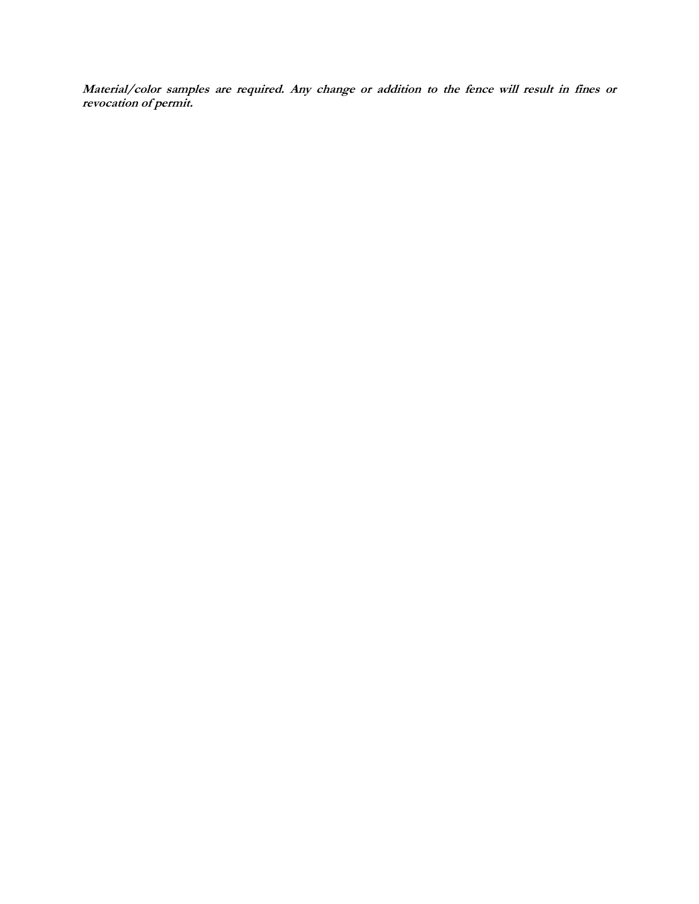**Material/color samples are required. Any change or addition to the fence will result in fines or revocation of permit.**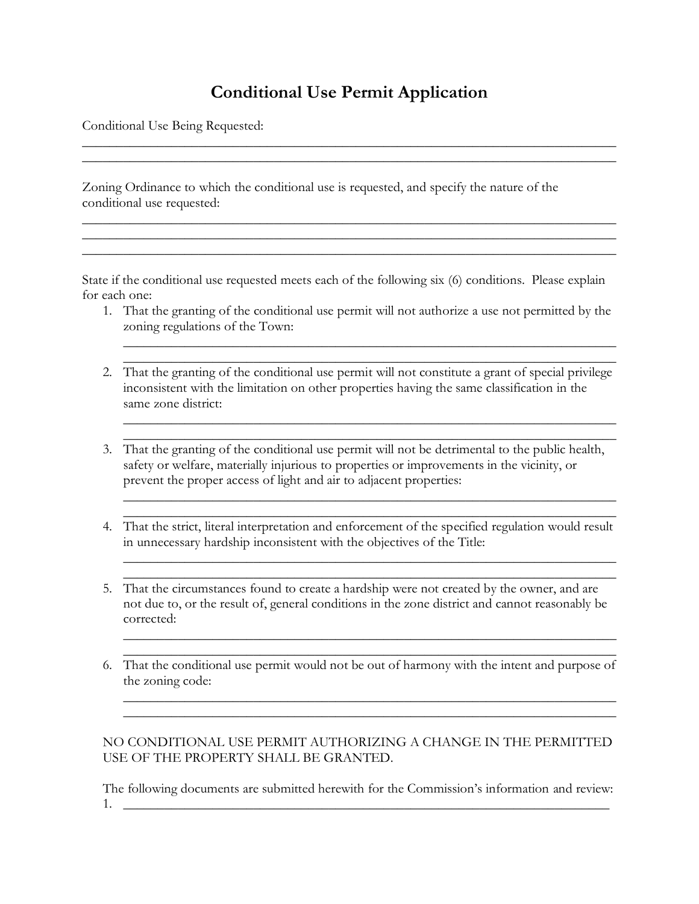# **Conditional Use Permit Application**

\_\_\_\_\_\_\_\_\_\_\_\_\_\_\_\_\_\_\_\_\_\_\_\_\_\_\_\_\_\_\_\_\_\_\_\_\_\_\_\_\_\_\_\_\_\_\_\_\_\_\_\_\_\_\_\_\_\_\_\_\_\_\_\_\_\_\_\_\_\_\_\_\_\_\_\_\_\_ \_\_\_\_\_\_\_\_\_\_\_\_\_\_\_\_\_\_\_\_\_\_\_\_\_\_\_\_\_\_\_\_\_\_\_\_\_\_\_\_\_\_\_\_\_\_\_\_\_\_\_\_\_\_\_\_\_\_\_\_\_\_\_\_\_\_\_\_\_\_\_\_\_\_\_\_\_\_

\_\_\_\_\_\_\_\_\_\_\_\_\_\_\_\_\_\_\_\_\_\_\_\_\_\_\_\_\_\_\_\_\_\_\_\_\_\_\_\_\_\_\_\_\_\_\_\_\_\_\_\_\_\_\_\_\_\_\_\_\_\_\_\_\_\_\_\_\_\_\_\_\_\_\_\_\_\_ \_\_\_\_\_\_\_\_\_\_\_\_\_\_\_\_\_\_\_\_\_\_\_\_\_\_\_\_\_\_\_\_\_\_\_\_\_\_\_\_\_\_\_\_\_\_\_\_\_\_\_\_\_\_\_\_\_\_\_\_\_\_\_\_\_\_\_\_\_\_\_\_\_\_\_\_\_\_ \_\_\_\_\_\_\_\_\_\_\_\_\_\_\_\_\_\_\_\_\_\_\_\_\_\_\_\_\_\_\_\_\_\_\_\_\_\_\_\_\_\_\_\_\_\_\_\_\_\_\_\_\_\_\_\_\_\_\_\_\_\_\_\_\_\_\_\_\_\_\_\_\_\_\_\_\_\_

Conditional Use Being Requested:

Zoning Ordinance to which the conditional use is requested, and specify the nature of the conditional use requested:

State if the conditional use requested meets each of the following six (6) conditions. Please explain for each one:

1. That the granting of the conditional use permit will not authorize a use not permitted by the zoning regulations of the Town:

 $\_$  , and the set of the set of the set of the set of the set of the set of the set of the set of the set of the set of the set of the set of the set of the set of the set of the set of the set of the set of the set of th  $\_$  , and the set of the set of the set of the set of the set of the set of the set of the set of the set of the set of the set of the set of the set of the set of the set of the set of the set of the set of the set of th

 $\_$  , and the set of the set of the set of the set of the set of the set of the set of the set of the set of the set of the set of the set of the set of the set of the set of the set of the set of the set of the set of th  $\_$  , and the set of the set of the set of the set of the set of the set of the set of the set of the set of the set of the set of the set of the set of the set of the set of the set of the set of the set of the set of th

 $\_$  , and the set of the set of the set of the set of the set of the set of the set of the set of the set of the set of the set of the set of the set of the set of the set of the set of the set of the set of the set of th

 $\_$  , and the set of the set of the set of the set of the set of the set of the set of the set of the set of the set of the set of the set of the set of the set of the set of the set of the set of the set of the set of th  $\_$  , and the set of the set of the set of the set of the set of the set of the set of the set of the set of the set of the set of the set of the set of the set of the set of the set of the set of the set of the set of th

\_\_\_\_\_\_\_\_\_\_\_\_\_\_\_\_\_\_\_\_\_\_\_\_\_\_\_\_\_\_\_\_\_\_\_\_\_\_\_\_\_\_\_\_\_\_\_\_\_\_\_\_\_\_\_\_\_\_\_\_\_\_\_\_\_\_\_\_\_\_\_\_

 $\_$  , and the set of the set of the set of the set of the set of the set of the set of the set of the set of the set of the set of the set of the set of the set of the set of the set of the set of the set of the set of th  $\_$  , and the set of the set of the set of the set of the set of the set of the set of the set of the set of the set of the set of the set of the set of the set of the set of the set of the set of the set of the set of th

- 2. That the granting of the conditional use permit will not constitute a grant of special privilege inconsistent with the limitation on other properties having the same classification in the same zone district:
- 3. That the granting of the conditional use permit will not be detrimental to the public health, safety or welfare, materially injurious to properties or improvements in the vicinity, or prevent the proper access of light and air to adjacent properties:
- $\_$  , and the set of the set of the set of the set of the set of the set of the set of the set of the set of the set of the set of the set of the set of the set of the set of the set of the set of the set of the set of th 4. That the strict, literal interpretation and enforcement of the specified regulation would result in unnecessary hardship inconsistent with the objectives of the Title:
- 5. That the circumstances found to create a hardship were not created by the owner, and are not due to, or the result of, general conditions in the zone district and cannot reasonably be corrected:
- $\_$  , and the set of the set of the set of the set of the set of the set of the set of the set of the set of the set of the set of the set of the set of the set of the set of the set of the set of the set of the set of th 6. That the conditional use permit would not be out of harmony with the intent and purpose of the zoning code:

### NO CONDITIONAL USE PERMIT AUTHORIZING A CHANGE IN THE PERMITTED USE OF THE PROPERTY SHALL BE GRANTED.

The following documents are submitted herewith for the Commission's information and review:  $1.$